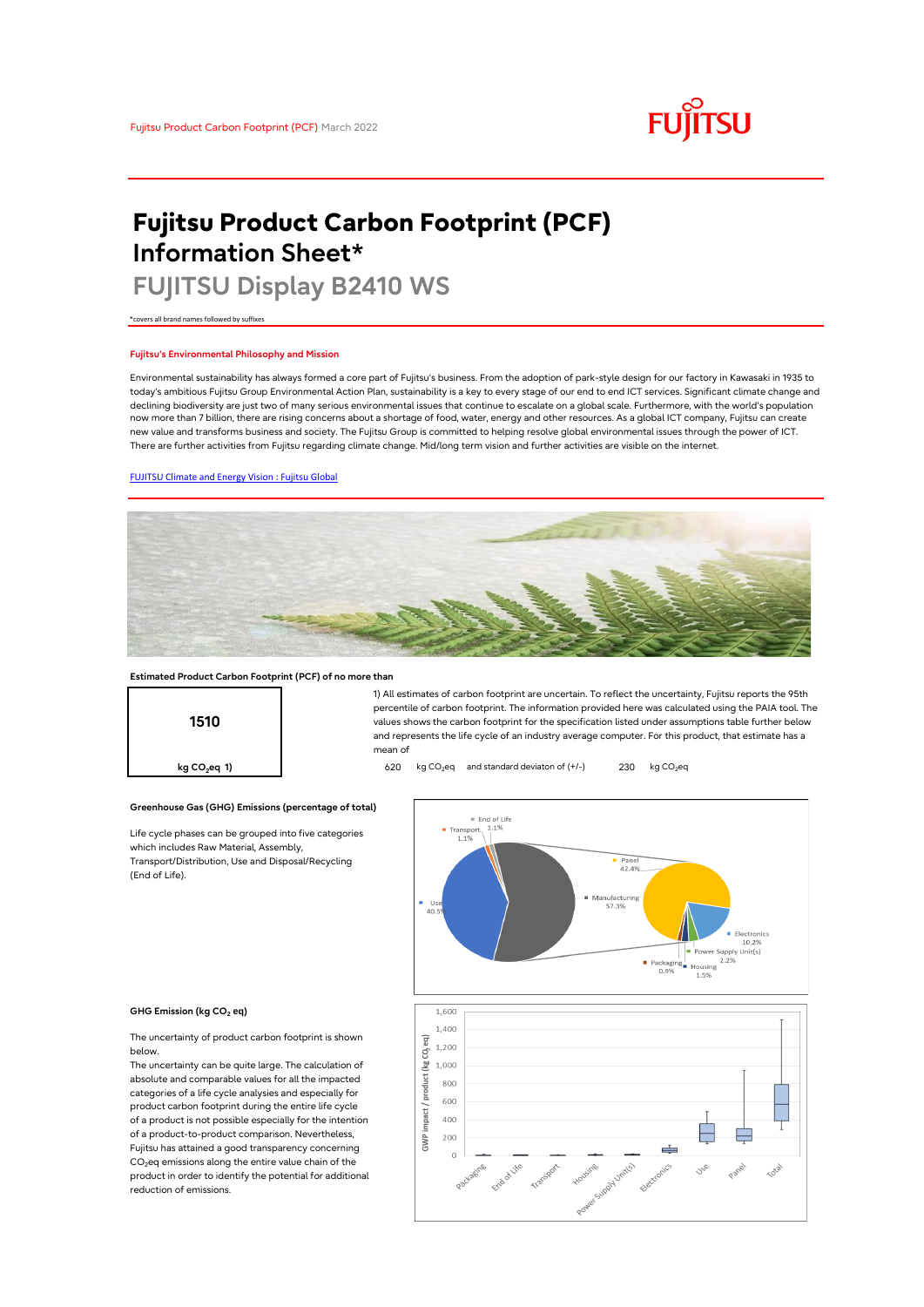# **FUJITSU**

# **Fujitsu Product Carbon Footprint (PCF) Information Sheet\***

# **FUJITSU Display B2410 WS**

\*covers all brand names followed by suffixes

## **Fujitsu's Environmental Philosophy and Mission**

Environmental sustainability has always formed a core part of Fujitsu's business. From the adoption of park-style design for our factory in Kawasaki in 1935 to today's ambitious Fujitsu Group Environmental Action Plan, sustainability is a key to every stage of our end to end ICT services. Significant climate change and declining biodiversity are just two of many serious environmental issues that continue to escalate on a global scale. Furthermore, with the world's population now more than 7 billion, there are rising concerns about a shortage of food, water, energy and other resources. As a global ICT company, Fujitsu can create new value and transforms business and society. The Fujitsu Group is committed to helping resolve global environmental issues through the power of ICT. There are further activities from Fujitsu regarding climate change. Mid/long term vision and further activities are visible on the internet.

# [FUJITSU Climate and Energy Vision : Fujitsu Global](https://www.fujitsu.com/global/about/environment/climate-energy-vision/)



mean of

### **Estimated Product Carbon Footprint (PCF) of no more than**



**Greenhouse Gas (GHG) Emissions (percentage of total)**

Life cycle phases can be grouped into five categories which includes Raw Material, Assembly, Transport/Distribution, Use and Disposal/Recycling (End of Life).



1) All estimates of carbon footprint are uncertain. To reflect the uncertainty, Fujitsu reports the 95th percentile of carbon footprint. The information provided here was calculated using the PAIA tool. The values shows the carbon footprint for the specification listed under assumptions table further below and represents the life cycle of an industry average computer. For this product, that estimate has a

#### **GHG Emission (kg CO<sup>2</sup> eq)**

The uncertainty of product carbon footprint is shown below.

The uncertainty can be quite large. The calculation of absolute and comparable values for all the impacted categories of a life cycle analysies and especially for product carbon footprint during the entire life cycle of a product is not possible especially for the intention of a product-to-product comparison. Nevertheless, Fujitsu has attained a good transparency concerning  $CO<sub>2</sub>$ eq emissions along the entire value chain of the product in order to identify the potential for additional reduction of emissions.